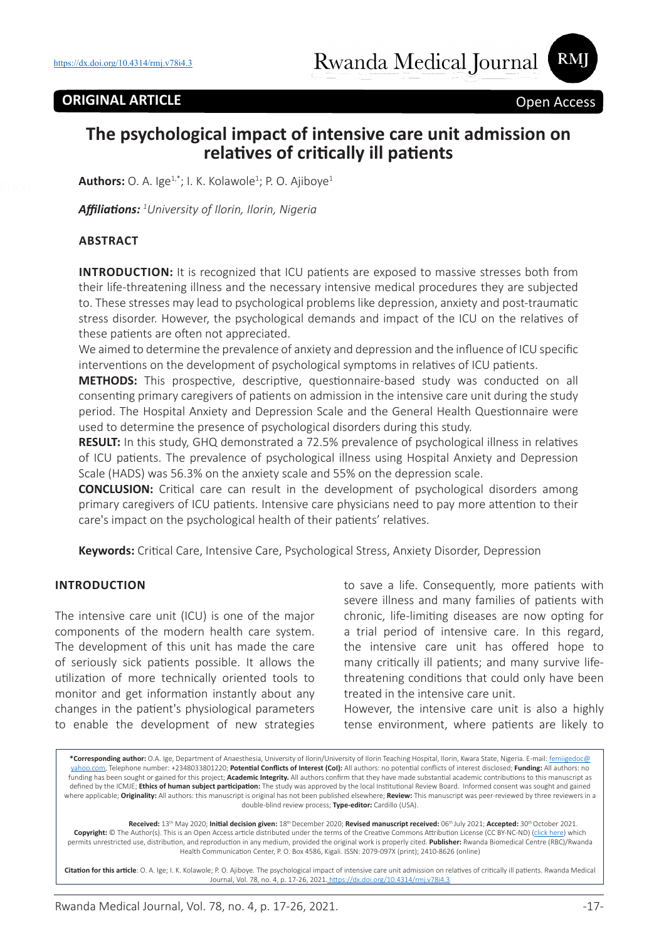RMI

# **The psychological impact of intensive care unit admission on relatives of critically ill patients**

**Authors:** O. A. Ige<sup>1,\*</sup>; I. K. Kolawole<sup>1</sup>; P. O. Ajiboye<sup>1</sup>

*Affiliations: <sup>1</sup> University of Ilorin, Ilorin, Nigeria*

#### **ABSTRACT**

**INTRODUCTION:** It is recognized that ICU patients are exposed to massive stresses both from their life-threatening illness and the necessary intensive medical procedures they are subjected to. These stresses may lead to psychological problems like depression, anxiety and post-traumatic stress disorder. However, the psychological demands and impact of the ICU on the relatives of these patients are often not appreciated.

We aimed to determine the prevalence of anxiety and depression and the influence of ICU specific interventions on the development of psychological symptoms in relatives of ICU patients.

**METHODS:** This prospective, descriptive, questionnaire-based study was conducted on all consenting primary caregivers of patients on admission in the intensive care unit during the study period. The Hospital Anxiety and Depression Scale and the General Health Questionnaire were used to determine the presence of psychological disorders during this study.

**RESULT:** In this study, GHQ demonstrated a 72.5% prevalence of psychological illness in relatives of ICU patients. The prevalence of psychological illness using Hospital Anxiety and Depression Scale (HADS) was 56.3% on the anxiety scale and 55% on the depression scale.

**CONCLUSION:** Critical care can result in the development of psychological disorders among primary caregivers of ICU patients. Intensive care physicians need to pay more attention to their care's impact on the psychological health of their patients' relatives.

**Keywords:** Critical Care, Intensive Care, Psychological Stress, Anxiety Disorder, Depression

#### **INTRODUCTION**

The intensive care unit (ICU) is one of the major components of the modern health care system. The development of this unit has made the care of seriously sick patients possible. It allows the utilization of more technically oriented tools to monitor and get information instantly about any changes in the patient's physiological parameters to enable the development of new strategies

to save a life. Consequently, more patients with severe illness and many families of patients with chronic, life-limiting diseases are now opting for a trial period of intensive care. In this regard, the intensive care unit has offered hope to many critically ill patients; and many survive lifethreatening conditions that could only have been treated in the intensive care unit.

However, the intensive care unit is also a highly tense environment, where patients are likely to

**\*Corresponding author:** O.A. Ige, Department of Anaesthesia, University of Ilorin/University of Ilorin Teaching Hospital, Ilorin, Kwara State, Nigeria. E-mail: femiigedoc@ yahoo.com, Telephone number: +2348033801220; **Potential Conflicts of Interest (CoI):** All authors: no potential conflicts of interest disclosed; **Funding:** All authors: no funding has been sought or gained for this project; **Academic Integrity.** All authors confirm that they have made substantial academic contributions to this manuscript as defined by the ICMJE; **Ethics of human subject participation:** The study was approved by the local Institutional Review Board. Informed consent was sought and gained where applicable; **Originality:** All authors: this manuscript is original has not been published elsewhere; **Review:** This manuscript was peer-reviewed by three reviewers in a double-blind review process; **Type-editor:** Cardillo (USA).

**Received:** 13th May 2020; **Initial decision given:** 18th December 2020; **Revised manuscript received:** 06th July 2021; **Accepted:** 30th October 2021. **Copyright:** © The Author(s). This is an Open Access article distributed under the terms of the Creative Commons Attribution License (CC BY-NC-ND) (click here) which permits unrestricted use, distribution, and reproduction in any medium, provided the original work is properly cited. **Publisher:** Rwanda Biomedical Centre (RBC)/Rwanda Health Communication Center, P. O. Box 4586, Kigali. ISSN: 2079-097X (print); 2410-8626 (online)

**Citation for this article**: O. A. Ige; I. K. Kolawole; P. O. Ajiboye. The psychological impact of intensive care unit admission on relatives of critically ill patients. Rwanda Medical Journal, Vol. 78, no. 4, p. 17-26, 2021. https://dx.doi.org/10.4314/rmj.v78i4.3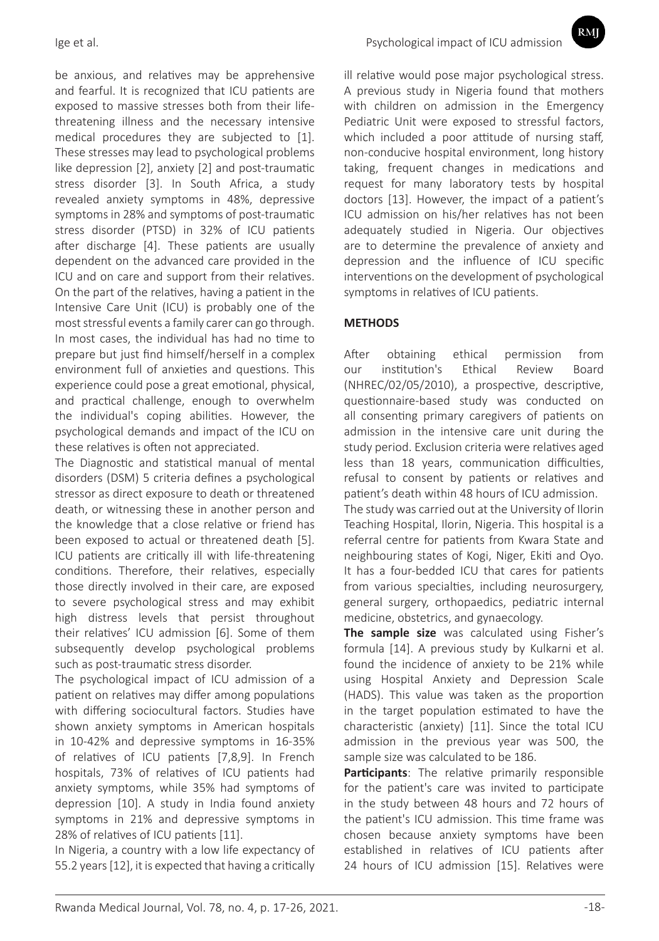be anxious, and relatives may be apprehensive and fearful. It is recognized that ICU patients are exposed to massive stresses both from their lifethreatening illness and the necessary intensive medical procedures they are subjected to [1]. These stresses may lead to psychological problems like depression [2], anxiety [2] and post-traumatic stress disorder [3]. In South Africa, a study revealed anxiety symptoms in 48%, depressive symptoms in 28% and symptoms of post-traumatic stress disorder (PTSD) in 32% of ICU patients after discharge [4]. These patients are usually dependent on the advanced care provided in the ICU and on care and support from their relatives. On the part of the relatives, having a patient in the Intensive Care Unit (ICU) is probably one of the most stressful events a family carer can go through. In most cases, the individual has had no time to prepare but just find himself/herself in a complex environment full of anxieties and questions. This experience could pose a great emotional, physical, and practical challenge, enough to overwhelm the individual's coping abilities. However, the psychological demands and impact of the ICU on these relatives is often not appreciated.

The Diagnostic and statistical manual of mental disorders (DSM) 5 criteria defines a psychological stressor as direct exposure to death or threatened death, or witnessing these in another person and the knowledge that a close relative or friend has been exposed to actual or threatened death [5]. ICU patients are critically ill with life-threatening conditions. Therefore, their relatives, especially those directly involved in their care, are exposed to severe psychological stress and may exhibit high distress levels that persist throughout their relatives' ICU admission [6]. Some of them subsequently develop psychological problems such as post-traumatic stress disorder.

The psychological impact of ICU admission of a patient on relatives may differ among populations with differing sociocultural factors. Studies have shown anxiety symptoms in American hospitals in 10-42% and depressive symptoms in 16-35% of relatives of ICU patients [7,8,9]. In French hospitals, 73% of relatives of ICU patients had anxiety symptoms, while 35% had symptoms of depression [10]. A study in India found anxiety symptoms in 21% and depressive symptoms in 28% of relatives of ICU patients [11].

In Nigeria, a country with a low life expectancy of 55.2 years [12], it is expected that having a critically ill relative would pose major psychological stress. A previous study in Nigeria found that mothers with children on admission in the Emergency Pediatric Unit were exposed to stressful factors, which included a poor attitude of nursing staff, non-conducive hospital environment, long history taking, frequent changes in medications and request for many laboratory tests by hospital doctors [13]. However, the impact of a patient's ICU admission on his/her relatives has not been adequately studied in Nigeria. Our objectives are to determine the prevalence of anxiety and depression and the influence of ICU specific interventions on the development of psychological symptoms in relatives of ICU patients.

### **METHODS**

After obtaining ethical permission from our institution's Ethical Review Board (NHREC/02/05/2010), a prospective, descriptive, questionnaire-based study was conducted on all consenting primary caregivers of patients on admission in the intensive care unit during the study period. Exclusion criteria were relatives aged less than 18 years, communication difficulties, refusal to consent by patients or relatives and patient's death within 48 hours of ICU admission.

The study was carried out at the University of Ilorin Teaching Hospital, Ilorin, Nigeria. This hospital is a referral centre for patients from Kwara State and neighbouring states of Kogi, Niger, Ekiti and Oyo. It has a four-bedded ICU that cares for patients from various specialties, including neurosurgery, general surgery, orthopaedics, pediatric internal medicine, obstetrics, and gynaecology.

**The sample size** was calculated using Fisher's formula [14]. A previous study by Kulkarni et al. found the incidence of anxiety to be 21% while using Hospital Anxiety and Depression Scale (HADS). This value was taken as the proportion in the target population estimated to have the characteristic (anxiety) [11]. Since the total ICU admission in the previous year was 500, the sample size was calculated to be 186.

**Participants**: The relative primarily responsible for the patient's care was invited to participate in the study between 48 hours and 72 hours of the patient's ICU admission. This time frame was chosen because anxiety symptoms have been established in relatives of ICU patients after 24 hours of ICU admission [15]. Relatives were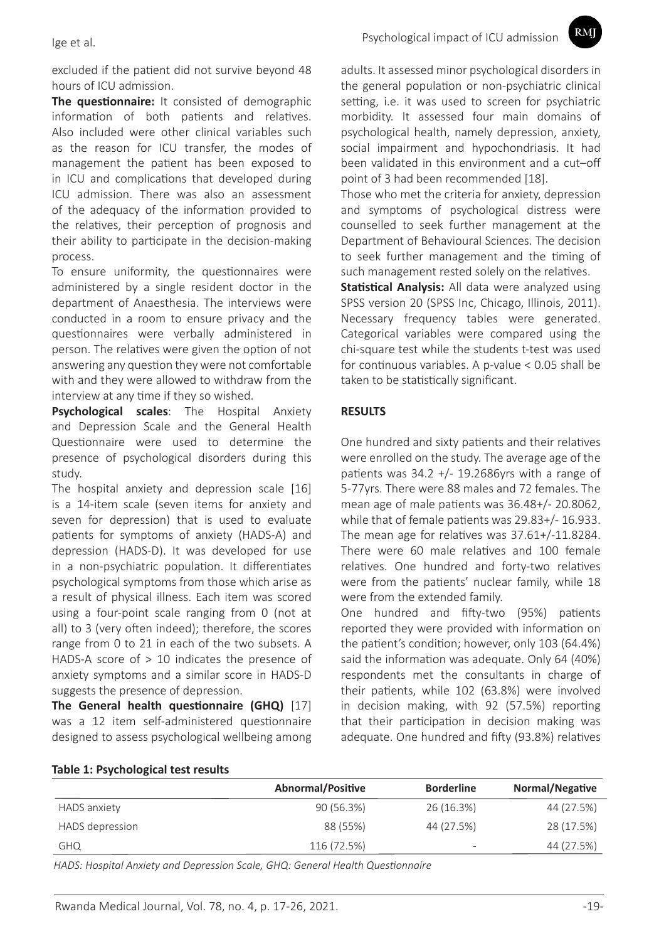RMI

excluded if the patient did not survive beyond 48 hours of ICU admission.

**The questionnaire:** It consisted of demographic information of both patients and relatives. Also included were other clinical variables such as the reason for ICU transfer, the modes of management the patient has been exposed to in ICU and complications that developed during ICU admission. There was also an assessment of the adequacy of the information provided to the relatives, their perception of prognosis and their ability to participate in the decision-making process.

To ensure uniformity, the questionnaires were administered by a single resident doctor in the department of Anaesthesia. The interviews were conducted in a room to ensure privacy and the questionnaires were verbally administered in person. The relatives were given the option of not answering any question they were not comfortable with and they were allowed to withdraw from the interview at any time if they so wished.

**Psychological scales**: The Hospital Anxiety and Depression Scale and the General Health Questionnaire were used to determine the presence of psychological disorders during this study.

The hospital anxiety and depression scale [16] is a 14-item scale (seven items for anxiety and seven for depression) that is used to evaluate patients for symptoms of anxiety (HADS-A) and depression (HADS-D). It was developed for use in a non-psychiatric population. It differentiates psychological symptoms from those which arise as a result of physical illness. Each item was scored using a four-point scale ranging from 0 (not at all) to 3 (very often indeed); therefore, the scores range from 0 to 21 in each of the two subsets. A HADS-A score of > 10 indicates the presence of anxiety symptoms and a similar score in HADS-D suggests the presence of depression.

**The General health questionnaire (GHQ)** [17] was a 12 item self-administered questionnaire designed to assess psychological wellbeing among

adults. It assessed minor psychological disorders in the general population or non-psychiatric clinical setting, i.e. it was used to screen for psychiatric morbidity. It assessed four main domains of psychological health, namely depression, anxiety, social impairment and hypochondriasis. It had been validated in this environment and a cut–off point of 3 had been recommended [18].

Those who met the criteria for anxiety, depression and symptoms of psychological distress were counselled to seek further management at the Department of Behavioural Sciences. The decision to seek further management and the timing of such management rested solely on the relatives.

**Statistical Analysis:** All data were analyzed using SPSS version 20 (SPSS Inc, Chicago, Illinois, 2011). Necessary frequency tables were generated. Categorical variables were compared using the chi-square test while the students t-test was used for continuous variables. A p-value < 0.05 shall be taken to be statistically significant.

#### **RESULTS**

One hundred and sixty patients and their relatives were enrolled on the study. The average age of the patients was  $34.2 +/- 19.2686$  yrs with a range of 5-77yrs. There were 88 males and 72 females. The mean age of male patients was 36.48+/- 20.8062, while that of female patients was 29.83+/- 16.933. The mean age for relatives was 37.61+/-11.8284. There were 60 male relatives and 100 female relatives. One hundred and forty-two relatives were from the patients' nuclear family, while 18 were from the extended family.

One hundred and fifty-two (95%) patients reported they were provided with information on the patient's condition; however, only 103 (64.4%) said the information was adequate. Only 64 (40%) respondents met the consultants in charge of their patients, while 102 (63.8%) were involved in decision making, with 92 (57.5%) reporting that their participation in decision making was adequate. One hundred and fifty (93.8%) relatives

|                 | <b>Abnormal/Positive</b> | <b>Borderline</b>        | Normal/Negative |
|-----------------|--------------------------|--------------------------|-----------------|
| HADS anxiety    | 90 (56.3%)               | 26 (16.3%)               | 44 (27.5%)      |
| HADS depression | 88 (55%)                 | 44 (27.5%)               | 28 (17.5%)      |
| <b>GHQ</b>      | 116 (72.5%)              | $\overline{\phantom{a}}$ | 44 (27.5%)      |

*HADS: Hospital Anxiety and Depression Scale, GHQ: General Health Questionnaire*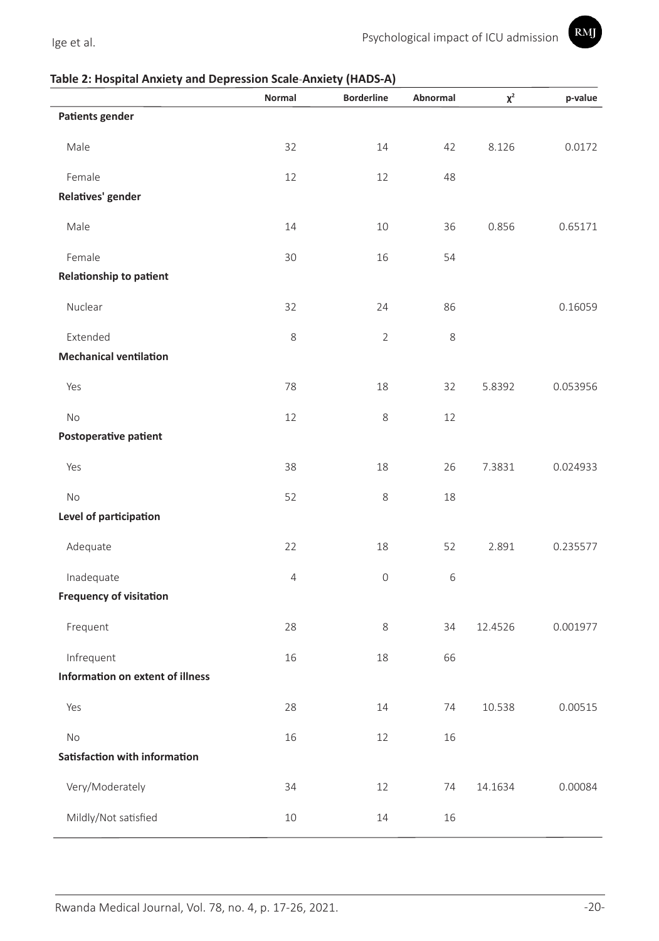

### **Table 2: Hospital Anxiety and Depression Scale***-***Anxiety (HADS-A)**

|                                  | Normal         | <b>Borderline</b> | Abnormal | $\chi^2$ | p-value  |
|----------------------------------|----------------|-------------------|----------|----------|----------|
| <b>Patients gender</b>           |                |                   |          |          |          |
| Male                             | 32             | 14                | 42       | 8.126    | 0.0172   |
| Female                           | 12             | 12                | 48       |          |          |
| Relatives' gender                |                |                   |          |          |          |
| Male                             | 14             | 10                | 36       | 0.856    | 0.65171  |
| Female                           | 30             | 16                | 54       |          |          |
| Relationship to patient          |                |                   |          |          |          |
| Nuclear                          | 32             | 24                | 86       |          | 0.16059  |
| Extended                         | 8              | $\overline{2}$    | 8        |          |          |
| <b>Mechanical ventilation</b>    |                |                   |          |          |          |
| Yes                              | 78             | 18                | 32       | 5.8392   | 0.053956 |
| <b>No</b>                        | 12             | 8                 | 12       |          |          |
| Postoperative patient            |                |                   |          |          |          |
| Yes                              | 38             | 18                | 26       | 7.3831   | 0.024933 |
| <b>No</b>                        | 52             | 8                 | 18       |          |          |
| Level of participation           |                |                   |          |          |          |
| Adequate                         | 22             | 18                | 52       | 2.891    | 0.235577 |
| Inadequate                       | $\overline{4}$ | $\mathsf O$       | 6        |          |          |
| <b>Frequency of visitation</b>   |                |                   |          |          |          |
| Frequent                         | 28             | 8                 | 34       | 12.4526  | 0.001977 |
| Infrequent                       | 16             | 18                | 66       |          |          |
| Information on extent of illness |                |                   |          |          |          |
| Yes                              | 28             | 14                | 74       | 10.538   | 0.00515  |
| No                               | 16             | 12                | 16       |          |          |
| Satisfaction with information    |                |                   |          |          |          |
| Very/Moderately                  | 34             | 12                | 74       | 14.1634  | 0.00084  |
| Mildly/Not satisfied             | $10\,$         | 14                | 16       |          |          |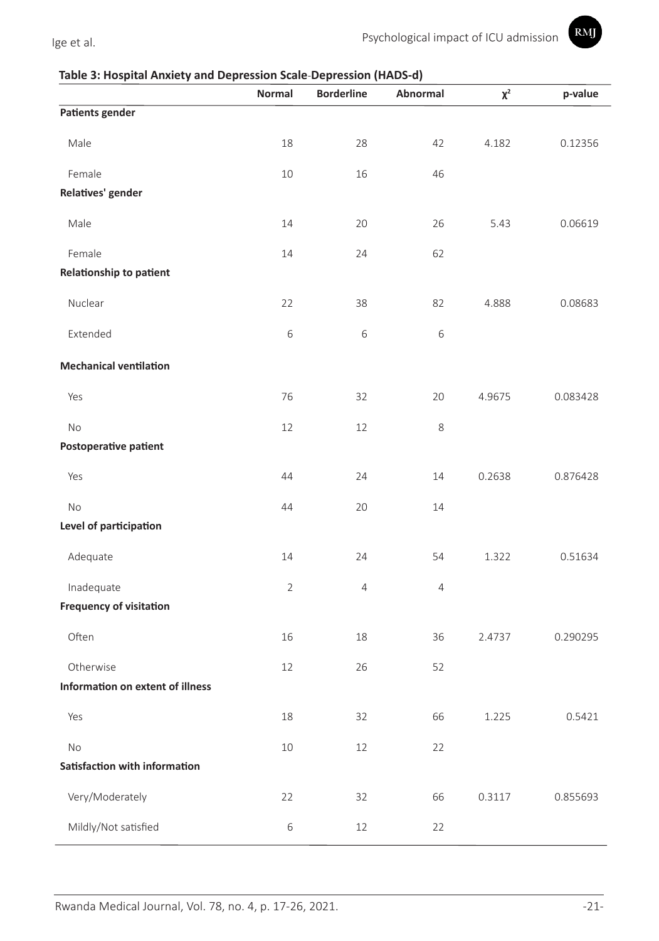

### **Table 3: Hospital Anxiety and Depression Scale***-***Depression (HADS-d)**

|                                     | Normal         | . <del>.</del> <sub>1</sub> .<br><b>Borderline</b> | Abnormal       | $\chi^2$ | p-value  |
|-------------------------------------|----------------|----------------------------------------------------|----------------|----------|----------|
| <b>Patients gender</b>              |                |                                                    |                |          |          |
| Male                                | 18             | 28                                                 | 42             | 4.182    | 0.12356  |
| Female                              | 10             | 16                                                 | 46             |          |          |
| Relatives' gender                   |                |                                                    |                |          |          |
|                                     |                |                                                    |                |          |          |
| Male                                | 14             | 20                                                 | 26             | 5.43     | 0.06619  |
| Female                              | 14             | 24                                                 | 62             |          |          |
| Relationship to patient             |                |                                                    |                |          |          |
| Nuclear                             | 22             | 38                                                 | 82             | 4.888    | 0.08683  |
| Extended                            | $\,$ 6 $\,$    | 6                                                  | 6              |          |          |
| <b>Mechanical ventilation</b>       |                |                                                    |                |          |          |
| Yes                                 | 76             | 32                                                 | 20             | 4.9675   | 0.083428 |
| No                                  | 12             | 12                                                 | 8              |          |          |
| Postoperative patient               |                |                                                    |                |          |          |
| Yes                                 | 44             | 24                                                 | 14             | 0.2638   | 0.876428 |
| No                                  | 44             | 20                                                 | 14             |          |          |
| Level of participation              |                |                                                    |                |          |          |
| Adequate                            | 14             | 24                                                 | 54             | 1.322    | 0.51634  |
| Inadequate                          | $\overline{2}$ | $\overline{4}$                                     | $\overline{4}$ |          |          |
| <b>Frequency of visitation</b>      |                |                                                    |                |          |          |
| Often                               | 16             | 18                                                 | 36             | 2.4737   | 0.290295 |
| Otherwise                           | 12             | 26                                                 | 52             |          |          |
| Information on extent of illness    |                |                                                    |                |          |          |
| Yes                                 | 18             | 32                                                 | 66             | 1.225    | 0.5421   |
|                                     |                |                                                    |                |          |          |
| No<br>Satisfaction with information | 10             | 12                                                 | 22             |          |          |
|                                     |                |                                                    |                |          |          |
| Very/Moderately                     | 22             | 32                                                 | 66             | 0.3117   | 0.855693 |
| Mildly/Not satisfied                | $\,$ 6 $\,$    | 12                                                 | 22             |          |          |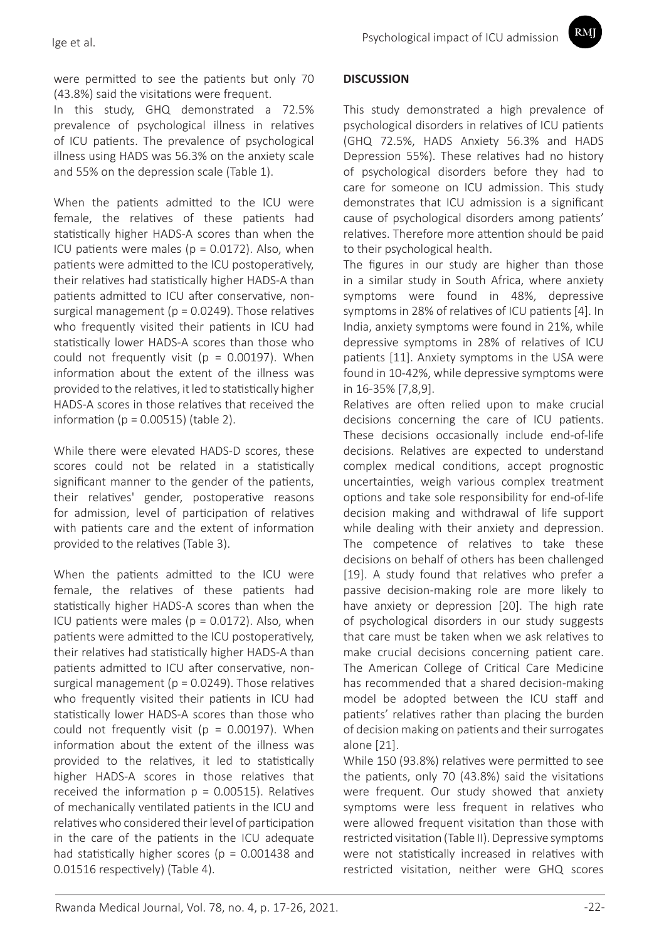RMI

were permitted to see the patients but only 70 (43.8%) said the visitations were frequent.

In this study, GHQ demonstrated a 72.5% prevalence of psychological illness in relatives of ICU patients. The prevalence of psychological illness using HADS was 56.3% on the anxiety scale and 55% on the depression scale (Table 1).

When the patients admitted to the ICU were female, the relatives of these patients had statistically higher HADS-A scores than when the ICU patients were males (p = 0.0172). Also, when patients were admitted to the ICU postoperatively, their relatives had statistically higher HADS-A than patients admitted to ICU after conservative, nonsurgical management ( $p = 0.0249$ ). Those relatives who frequently visited their patients in ICU had statistically lower HADS-A scores than those who could not frequently visit ( $p = 0.00197$ ). When information about the extent of the illness was provided to the relatives, it led to statistically higher HADS-A scores in those relatives that received the information ( $p = 0.00515$ ) (table 2).

While there were elevated HADS-D scores, these scores could not be related in a statistically significant manner to the gender of the patients, their relatives' gender, postoperative reasons for admission, level of participation of relatives with patients care and the extent of information provided to the relatives (Table 3).

When the patients admitted to the ICU were female, the relatives of these patients had statistically higher HADS-A scores than when the ICU patients were males (p = 0.0172). Also, when patients were admitted to the ICU postoperatively, their relatives had statistically higher HADS-A than patients admitted to ICU after conservative, nonsurgical management ( $p = 0.0249$ ). Those relatives who frequently visited their patients in ICU had statistically lower HADS-A scores than those who could not frequently visit ( $p = 0.00197$ ). When information about the extent of the illness was provided to the relatives, it led to statistically higher HADS-A scores in those relatives that received the information  $p = 0.00515$ ). Relatives of mechanically ventilated patients in the ICU and relatives who considered their level of participation in the care of the patients in the ICU adequate had statistically higher scores ( $p = 0.001438$  and 0.01516 respectively) (Table 4).

#### **DISCUSSION**

This study demonstrated a high prevalence of psychological disorders in relatives of ICU patients (GHQ 72.5%, HADS Anxiety 56.3% and HADS Depression 55%). These relatives had no history of psychological disorders before they had to care for someone on ICU admission. This study demonstrates that ICU admission is a significant cause of psychological disorders among patients' relatives. Therefore more attention should be paid to their psychological health.

The figures in our study are higher than those in a similar study in South Africa, where anxiety symptoms were found in 48%, depressive symptoms in 28% of relatives of ICU patients [4]. In India, anxiety symptoms were found in 21%, while depressive symptoms in 28% of relatives of ICU patients [11]. Anxiety symptoms in the USA were found in 10-42%, while depressive symptoms were in 16-35% [7,8,9].

Relatives are often relied upon to make crucial decisions concerning the care of ICU patients. These decisions occasionally include end-of-life decisions. Relatives are expected to understand complex medical conditions, accept prognostic uncertainties, weigh various complex treatment options and take sole responsibility for end-of-life decision making and withdrawal of life support while dealing with their anxiety and depression. The competence of relatives to take these decisions on behalf of others has been challenged [19]. A study found that relatives who prefer a passive decision-making role are more likely to have anxiety or depression [20]. The high rate of psychological disorders in our study suggests that care must be taken when we ask relatives to make crucial decisions concerning patient care. The American College of Critical Care Medicine has recommended that a shared decision-making model be adopted between the ICU staff and patients' relatives rather than placing the burden of decision making on patients and their surrogates alone [21].

While 150 (93.8%) relatives were permitted to see the patients, only 70 (43.8%) said the visitations were frequent. Our study showed that anxiety symptoms were less frequent in relatives who were allowed frequent visitation than those with restricted visitation (Table II). Depressive symptoms were not statistically increased in relatives with restricted visitation, neither were GHQ scores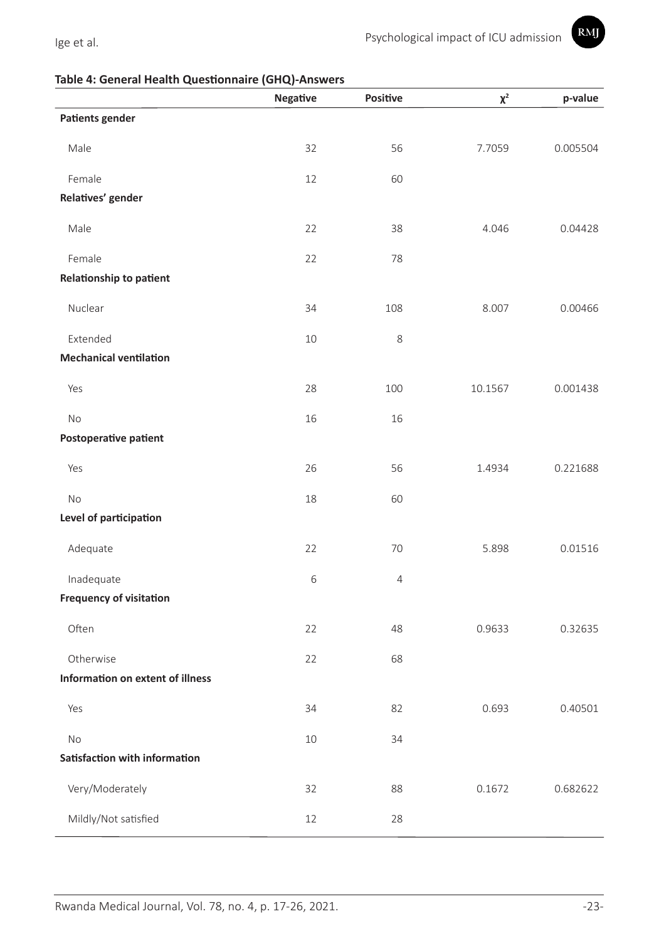

#### **Table 4: General Health Questionnaire (GHQ)-Answers**

|                                  | Negative | Positive   | $\chi^2$ | p-value  |
|----------------------------------|----------|------------|----------|----------|
| <b>Patients gender</b>           |          |            |          |          |
| Male                             | 32       | 56         | 7.7059   | 0.005504 |
| Female                           | 12       | 60         |          |          |
| Relatives' gender                |          |            |          |          |
| Male                             | 22       | 38         | 4.046    | 0.04428  |
| Female                           | 22       | 78         |          |          |
| Relationship to patient          |          |            |          |          |
| Nuclear                          | 34       | 108        | 8.007    | 0.00466  |
| Extended                         | 10       | 8          |          |          |
| <b>Mechanical ventilation</b>    |          |            |          |          |
| Yes                              | 28       | 100        | 10.1567  | 0.001438 |
| No                               | 16       | 16         |          |          |
| Postoperative patient            |          |            |          |          |
| Yes                              | 26       | 56         | 1.4934   | 0.221688 |
| No                               | 18       | 60         |          |          |
| Level of participation           |          |            |          |          |
| Adequate                         | 22       | 70         | 5.898    | 0.01516  |
| Inadequate                       | 6        | $\sqrt{4}$ |          |          |
| <b>Frequency of visitation</b>   |          |            |          |          |
| Often                            | 22       | 48         | 0.9633   | 0.32635  |
| Otherwise                        | 22       | 68         |          |          |
| Information on extent of illness |          |            |          |          |
| Yes                              | 34       | 82         | 0.693    | 0.40501  |
| No                               | 10       | 34         |          |          |
| Satisfaction with information    |          |            |          |          |
| Very/Moderately                  | 32       | 88         | 0.1672   | 0.682622 |
| Mildly/Not satisfied             | 12       | 28         |          |          |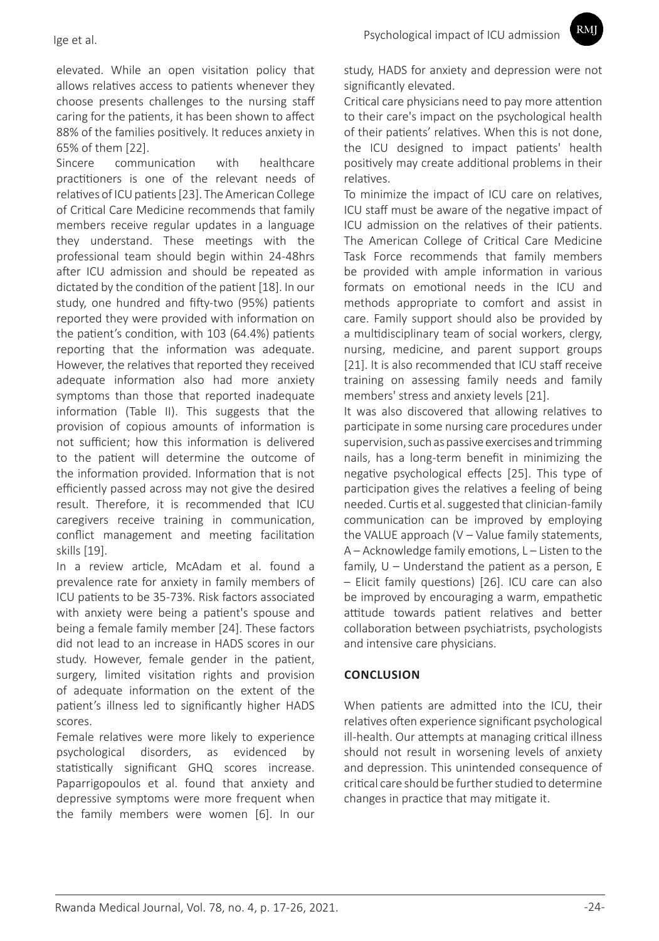elevated. While an open visitation policy that allows relatives access to patients whenever they choose presents challenges to the nursing staff caring for the patients, it has been shown to affect 88% of the families positively. It reduces anxiety in 65% of them [22].

Sincere communication with healthcare practitioners is one of the relevant needs of relatives of ICU patients [23]. The American College of Critical Care Medicine recommends that family members receive regular updates in a language they understand. These meetings with the professional team should begin within 24-48hrs after ICU admission and should be repeated as dictated by the condition of the patient [18]. In our study, one hundred and fifty-two (95%) patients reported they were provided with information on the patient's condition, with 103 (64.4%) patients reporting that the information was adequate. However, the relatives that reported they received adequate information also had more anxiety symptoms than those that reported inadequate information (Table II). This suggests that the provision of copious amounts of information is not sufficient; how this information is delivered to the patient will determine the outcome of the information provided. Information that is not efficiently passed across may not give the desired result. Therefore, it is recommended that ICU caregivers receive training in communication, conflict management and meeting facilitation skills [19].

In a review article, McAdam et al. found a prevalence rate for anxiety in family members of ICU patients to be 35-73%. Risk factors associated with anxiety were being a patient's spouse and being a female family member [24]. These factors did not lead to an increase in HADS scores in our study. However, female gender in the patient, surgery, limited visitation rights and provision of adequate information on the extent of the patient's illness led to significantly higher HADS scores.

Female relatives were more likely to experience psychological disorders, as evidenced by statistically significant GHQ scores increase. Paparrigopoulos et al. found that anxiety and depressive symptoms were more frequent when the family members were women [6]. In our

study, HADS for anxiety and depression were not significantly elevated.

**RMI** 

Critical care physicians need to pay more attention to their care's impact on the psychological health of their patients' relatives. When this is not done, the ICU designed to impact patients' health positively may create additional problems in their relatives.

To minimize the impact of ICU care on relatives, ICU staff must be aware of the negative impact of ICU admission on the relatives of their patients. The American College of Critical Care Medicine Task Force recommends that family members be provided with ample information in various formats on emotional needs in the ICU and methods appropriate to comfort and assist in care. Family support should also be provided by a multidisciplinary team of social workers, clergy, nursing, medicine, and parent support groups [21]. It is also recommended that ICU staff receive training on assessing family needs and family members' stress and anxiety levels [21].

It was also discovered that allowing relatives to participate in some nursing care procedures under supervision, such as passive exercises and trimming nails, has a long-term benefit in minimizing the negative psychological effects [25]. This type of participation gives the relatives a feeling of being needed. Curtis et al. suggested that clinician-family communication can be improved by employing the VALUE approach (V – Value family statements, A – Acknowledge family emotions, L – Listen to the family, U – Understand the patient as a person, E – Elicit family questions) [26]. ICU care can also be improved by encouraging a warm, empathetic attitude towards patient relatives and better collaboration between psychiatrists, psychologists and intensive care physicians.

### **CONCLUSION**

When patients are admitted into the ICU, their relatives often experience significant psychological ill-health. Our attempts at managing critical illness should not result in worsening levels of anxiety and depression. This unintended consequence of critical care should be further studied to determine changes in practice that may mitigate it.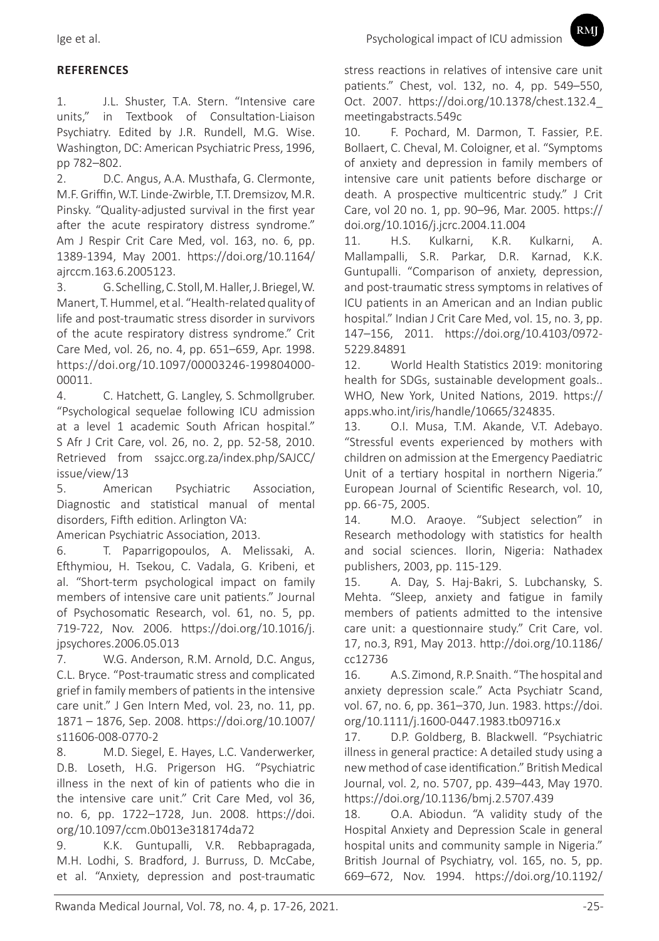## **REFERENCES**

1. J.L. Shuster, T.A. Stern. "Intensive care units," in Textbook of Consultation-Liaison Psychiatry. Edited by J.R. Rundell, M.G. Wise. Washington, DC: American Psychiatric Press, 1996, pp 782–802.

2. D.C. Angus, A.A. Musthafa, G. Clermonte, M.F. Griffin, W.T. Linde-Zwirble, T.T. Dremsizov, M.R. Pinsky. "Quality-adjusted survival in the first year after the acute respiratory distress syndrome." Am J Respir Crit Care Med, vol. 163, no. 6, pp. 1389-1394, May 2001. https://doi.org/10.1164/ ajrccm.163.6.2005123.

3. G. Schelling, C. Stoll, M. Haller, J. Briegel, W. Manert, T. Hummel, et al. "Health-related quality of life and post-traumatic stress disorder in survivors of the acute respiratory distress syndrome." Crit Care Med, vol. 26, no. 4, pp. 651–659, Apr. 1998. https://doi.org/10.1097/00003246-199804000- 00011.

4. C. Hatchett, G. Langley, S. Schmollgruber. "Psychological sequelae following ICU admission at a level 1 academic South African hospital." S Afr J Crit Care, vol. 26, no. 2, pp. 52-58, 2010. Retrieved from ssajcc.org.za/index.php/SAJCC/ issue/view/13

5. American Psychiatric Association, Diagnostic and statistical manual of mental disorders, Fifth edition. Arlington VA:

American Psychiatric Association, 2013.

6. T. Paparrigopoulos, A. Melissaki, A. Efthymiou, H. Tsekou, C. Vadala, G. Kribeni, et al. "Short-term psychological impact on family members of intensive care unit patients." Journal of Psychosomatic Research, vol. 61, no. 5, pp. 719-722, Nov. 2006. https://doi.org/10.1016/j. jpsychores.2006.05.013

7. W.G. Anderson, R.M. Arnold, D.C. Angus, C.L. Bryce. "Post-traumatic stress and complicated grief in family members of patients in the intensive care unit." J Gen Intern Med, vol. 23, no. 11, pp. 1871 – 1876, Sep. 2008. https://doi.org/10.1007/ s11606-008-0770-2

8. M.D. Siegel, E. Hayes, L.C. Vanderwerker, D.B. Loseth, H.G. Prigerson HG. "Psychiatric illness in the next of kin of patients who die in the intensive care unit." Crit Care Med, vol 36, no. 6, pp. 1722–1728, Jun. 2008. https://doi. org/10.1097/ccm.0b013e318174da72

9. K.K. Guntupalli, V.R. Rebbapragada, M.H. Lodhi, S. Bradford, J. Burruss, D. McCabe, et al. "Anxiety, depression and post-traumatic stress reactions in relatives of intensive care unit patients." Chest, vol. 132, no. 4, pp. 549–550, Oct. 2007. https://doi.org/10.1378/chest.132.4\_ meetingabstracts.549c

10. F. Pochard, M. Darmon, T. Fassier, P.E. Bollaert, C. Cheval, M. Coloigner, et al. "Symptoms of anxiety and depression in family members of intensive care unit patients before discharge or death. A prospective multicentric study." J Crit Care, vol 20 no. 1, pp. 90–96, Mar. 2005. https:// doi.org/10.1016/j.jcrc.2004.11.004

11. H.S. Kulkarni, K.R. Kulkarni, A. Mallampalli, S.R. Parkar, D.R. Karnad, K.K. Guntupalli. "Comparison of anxiety, depression, and post-traumatic stress symptoms in relatives of ICU patients in an American and an Indian public hospital." Indian J Crit Care Med, vol. 15, no. 3, pp. 147–156, 2011. https://doi.org/10.4103/0972- 5229.84891

12. World Health Statistics 2019: monitoring health for SDGs, sustainable development goals.. WHO, New York, United Nations, 2019. https:// apps.who.int/iris/handle/10665/324835.

13. O.I. Musa, T.M. Akande, V.T. Adebayo. "Stressful events experienced by mothers with children on admission at the Emergency Paediatric Unit of a tertiary hospital in northern Nigeria." European Journal of Scientific Research, vol. 10, pp. 66 -75, 2005.

14. M.O. Araoye. "Subject selection" in Research methodology with statistics for health and social sciences. Ilorin, Nigeria: Nathadex publishers, 2003, pp. 115-129.

15. A. Day, S. Haj-Bakri, S. Lubchansky, S. Mehta. "Sleep, anxiety and fatigue in family members of patients admitted to the intensive care unit: a questionnaire study." Crit Care, vol. 17, no.3, R91, May 2013. http://doi.org/10.1186/ cc12736

16. A.S. Zimond, R.P. Snaith. "The hospital and anxiety depression scale." Acta Psychiatr Scand, vol. 67, no. 6, pp. 361–370, Jun. 1983. https://doi. org/10.1111/j.1600-0447.1983.tb09716.x

17. D.P. Goldberg, B. Blackwell. "Psychiatric illness in general practice: A detailed study using a new method of case identification." British Medical Journal, vol. 2, no. 5707, pp. 439–443, May 1970. https://doi.org/10.1136/bmj.2.5707.439

18. O.A. Abiodun. "A validity study of the Hospital Anxiety and Depression Scale in general hospital units and community sample in Nigeria." British Journal of Psychiatry, vol. 165, no. 5, pp. 669–672, Nov. 1994. https://doi.org/10.1192/